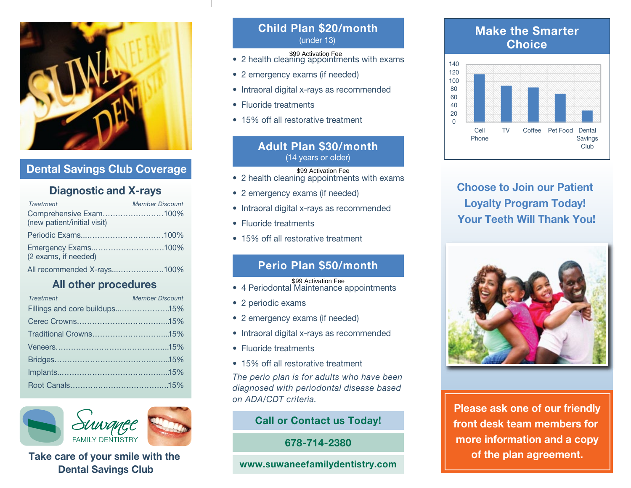

# Dental Savings Club Coverage

# Diagnostic and X-rays

| <b>Treatment</b>                                      | <b>Member Discount</b> |
|-------------------------------------------------------|------------------------|
| Comprehensive Exam100%<br>(new patient/initial visit) |                        |
|                                                       |                        |
| (2 exams, if needed)                                  |                        |
| All recommended X-rays100%                            |                        |

# All other procedures

| <b>Treatment</b>              | <b>Member Discount</b> |
|-------------------------------|------------------------|
| Fillings and core buildups15% |                        |
|                               |                        |
|                               |                        |
|                               |                        |
|                               |                        |
|                               |                        |
|                               |                        |



# Take care of your smile with the **of the plan agreement.** Take care of the plan agreement. Dental Savings Club

### Child Plan \$20/month (under 13)

- 2 emergency exams (if needed)
- Intraoral digital x-rays as recommended
- Fluoride treatments
- 15% off all restorative treatment

# • 2 health cleaning appointments with exams<br>
• 2 emergency exams (if needed)<br>
• Intraoral digital x-rays as recommended<br>
• Fluoride treatments<br>
• 15% off all restorative treatment<br>
• **Adult Plan \$30/month**<br>
(14 years or ol Adult Plan \$30/month (14 years or older)

• 2 health cleaning appointments with exams

- 2 emergency exams (if needed)
- Intraoral digital x-rays as recommended
- Fluoride treatments
- 15% off all restorative treatment

# Perio Plan \$50/month

#### \$99 Activation Fee

- 4 Periodontal Maintenance appointments
- 2 periodic exams
- 2 emergency exams (if needed)
- Intraoral digital x-rays as recommended
- Fluoride treatments
- 15% off all restorative treatment

*The perio plan is for adults who have been diagnosed with periodontal disease based on ADA/CDT criteria.*

### Call or Contact us Today!

678-714-2380

#### www.suwaneefamilydentistry.com

# Make the Smarter **Choice**



Choose to Join our Patient Loyalty Program Today! Your Teeth Will Thank You!



Please ask one of our friendly front desk team members for more information and a copy